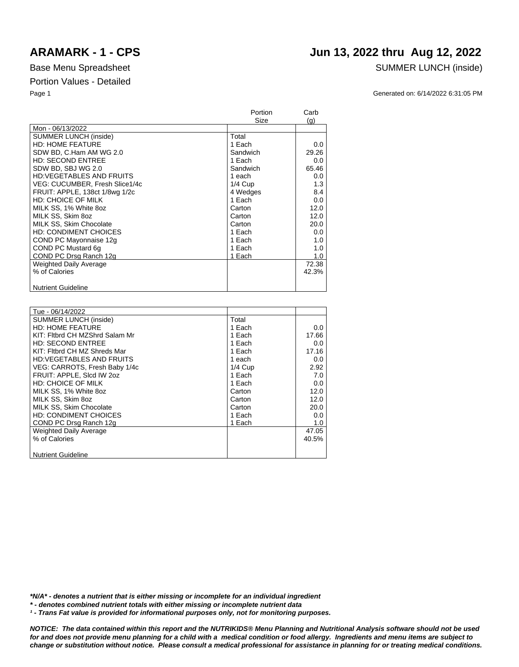## **ARAMARK - 1 - CPS Jun 13, 2022 thru Aug 12, 2022**

### Base Menu Spreadsheet SUMMER LUNCH (inside)

Page 1 Generated on: 6/14/2022 6:31:05 PM

|                                 | Portion   | Carb  |
|---------------------------------|-----------|-------|
|                                 | Size      | (g)   |
| Mon - 06/13/2022                |           |       |
| <b>SUMMER LUNCH (inside)</b>    | Total     |       |
| <b>HD: HOME FEATURE</b>         | 1 Each    | 0.0   |
| SDW BD, C.Ham AM WG 2.0         | Sandwich  | 29.26 |
| <b>HD: SECOND ENTREE</b>        | 1 Each    | 0.0   |
| SDW BD, SBJ WG 2.0              | Sandwich  | 65.46 |
| <b>HD:VEGETABLES AND FRUITS</b> | 1 each    | 0.0   |
| VEG: CUCUMBER, Fresh Slice1/4c  | $1/4$ Cup | 1.3   |
| FRUIT: APPLE, 138ct 1/8wg 1/2c  | 4 Wedges  | 8.4   |
| <b>HD: CHOICE OF MILK</b>       | 1 Each    | 0.0   |
| MILK SS, 1% White 8oz           | Carton    | 12.0  |
| MILK SS, Skim 8oz               | Carton    | 12.0  |
| MILK SS, Skim Chocolate         | Carton    | 20.0  |
| <b>HD: CONDIMENT CHOICES</b>    | 1 Each    | 0.0   |
| COND PC Mayonnaise 12g          | 1 Each    | 1.0   |
| COND PC Mustard 6q              | 1 Each    | 1.0   |
| COND PC Drsg Ranch 12g          | 1 Each    | 1.0   |
| <b>Weighted Daily Average</b>   |           | 72.38 |
| % of Calories                   |           | 42.3% |
|                                 |           |       |
| <b>Nutrient Guideline</b>       |           |       |

| Tue - 06/14/2022                |           |       |
|---------------------------------|-----------|-------|
| <b>SUMMER LUNCH (inside)</b>    | Total     |       |
| <b>HD: HOME FEATURE</b>         | 1 Each    | 0.0   |
| KIT: Fitbrd CH MZShrd Salam Mr  | 1 Each    | 17.66 |
| <b>HD: SECOND ENTREE</b>        | 1 Each    | 0.0   |
| KIT: Fitbrd CH MZ Shreds Mar    | 1 Each    | 17.16 |
| <b>HD:VEGETABLES AND FRUITS</b> | 1 each    | 0.0   |
| VEG: CARROTS, Fresh Baby 1/4c   | $1/4$ Cup | 2.92  |
| FRUIT: APPLE, SIcd IW 202       | 1 Each    | 7.0   |
| <b>HD: CHOICE OF MILK</b>       | 1 Each    | 0.0   |
| MILK SS, 1% White 8oz           | Carton    | 12.0  |
| MILK SS. Skim 8oz               | Carton    | 12.0  |
| MILK SS. Skim Chocolate         | Carton    | 20.0  |
| <b>HD: CONDIMENT CHOICES</b>    | 1 Each    | 0.0   |
| COND PC Drsg Ranch 12g          | 1 Each    | 1.0   |
| <b>Weighted Daily Average</b>   |           | 47.05 |
| % of Calories                   |           | 40.5% |
|                                 |           |       |
| <b>Nutrient Guideline</b>       |           |       |

*\*N/A\* - denotes a nutrient that is either missing or incomplete for an individual ingredient*

*\* - denotes combined nutrient totals with either missing or incomplete nutrient data*

*¹ - Trans Fat value is provided for informational purposes only, not for monitoring purposes.*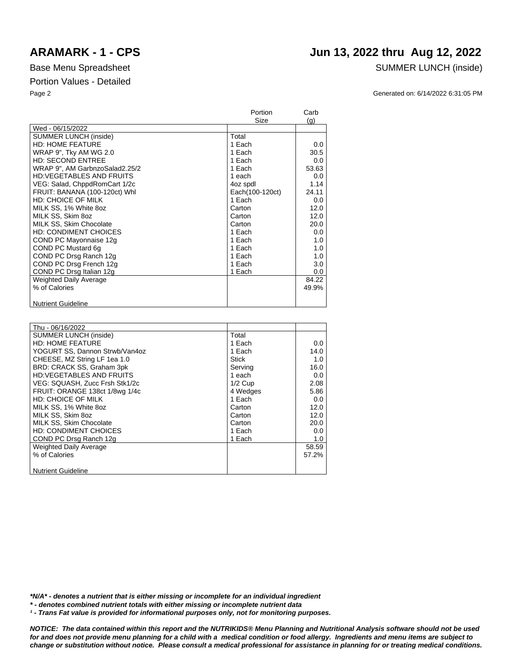**Nutrient Guideline** 

|                                 | Portion         | Carb  |
|---------------------------------|-----------------|-------|
|                                 | Size            | (q)   |
| Wed - 06/15/2022                |                 |       |
| <b>SUMMER LUNCH (inside)</b>    | Total           |       |
| <b>HD: HOME FEATURE</b>         | 1 Each          | 0.0   |
| WRAP 9", Tky AM WG 2.0          | 1 Each          | 30.5  |
| <b>HD: SECOND ENTREE</b>        | 1 Each          | 0.0   |
| WRAP 9", AM GarbnzoSalad2.25/2  | 1 Each          | 53.63 |
| <b>HD:VEGETABLES AND FRUITS</b> | 1 each          | 0.0   |
| VEG: Salad, ChppdRomCart 1/2c   | 4oz spdl        | 1.14  |
| FRUIT: BANANA (100-120ct) Whl   | Each(100-120ct) | 24.11 |
| <b>HD: CHOICE OF MILK</b>       | 1 Each          | 0.0   |
| MILK SS, 1% White 8oz           | Carton          | 12.0  |
| MILK SS, Skim 8oz               | Carton          | 12.0  |
| MILK SS, Skim Chocolate         | Carton          | 20.0  |
| <b>HD: CONDIMENT CHOICES</b>    | 1 Each          | 0.0   |
| COND PC Mayonnaise 12g          | 1 Each          | 1.0   |
| COND PC Mustard 6q              | 1 Each          | 1.0   |
| COND PC Drsg Ranch 12g          | 1 Each          | 1.0   |
| COND PC Drsg French 12g         | 1 Each          | 3.0   |
| COND PC Drsg Italian 12g        | 1 Each          | 0.0   |
| <b>Weighted Daily Average</b>   |                 | 84.22 |
| % of Calories                   |                 | 49.9% |
|                                 |                 |       |

| Thu - 06/16/2022                |           |       |
|---------------------------------|-----------|-------|
| <b>SUMMER LUNCH (inside)</b>    | Total     |       |
| <b>HD: HOME FEATURE</b>         | 1 Each    | 0.0   |
| YOGURT SS, Dannon Strwb/Van4oz  | 1 Each    | 14.0  |
| CHEESE, MZ String LF 1ea 1.0    | Stick     | 1.0   |
| BRD: CRACK SS, Graham 3pk       | Serving   | 16.0  |
| <b>HD:VEGETABLES AND FRUITS</b> | 1 each    | 0.0   |
| VEG: SQUASH, Zucc Frsh Stk1/2c  | $1/2$ Cup | 2.08  |
| FRUIT: ORANGE 138ct 1/8wg 1/4c  | 4 Wedges  | 5.86  |
| <b>HD: CHOICE OF MILK</b>       | 1 Each    | 0.0   |
| MILK SS, 1% White 8oz           | Carton    | 12.0  |
| MILK SS, Skim 8oz               | Carton    | 12.0  |
| MILK SS, Skim Chocolate         | Carton    | 20.0  |
| <b>HD: CONDIMENT CHOICES</b>    | 1 Each    | 0.0   |
| COND PC Drsg Ranch 12g          | 1 Each    | 1.0   |
| <b>Weighted Daily Average</b>   |           | 58.59 |
| % of Calories                   |           | 57.2% |
|                                 |           |       |
| <b>Nutrient Guideline</b>       |           |       |

*\*N/A\* - denotes a nutrient that is either missing or incomplete for an individual ingredient*

*\* - denotes combined nutrient totals with either missing or incomplete nutrient data*

*¹ - Trans Fat value is provided for informational purposes only, not for monitoring purposes.*

*NOTICE: The data contained within this report and the NUTRIKIDS® Menu Planning and Nutritional Analysis software should not be used for and does not provide menu planning for a child with a medical condition or food allergy. Ingredients and menu items are subject to* 

*change or substitution without notice. Please consult a medical professional for assistance in planning for or treating medical conditions.*

## **ARAMARK - 1 - CPS Jun 13, 2022 thru Aug 12, 2022**

Base Menu Spreadsheet SUMMER LUNCH (inside)

Page 2 Generated on: 6/14/2022 6:31:05 PM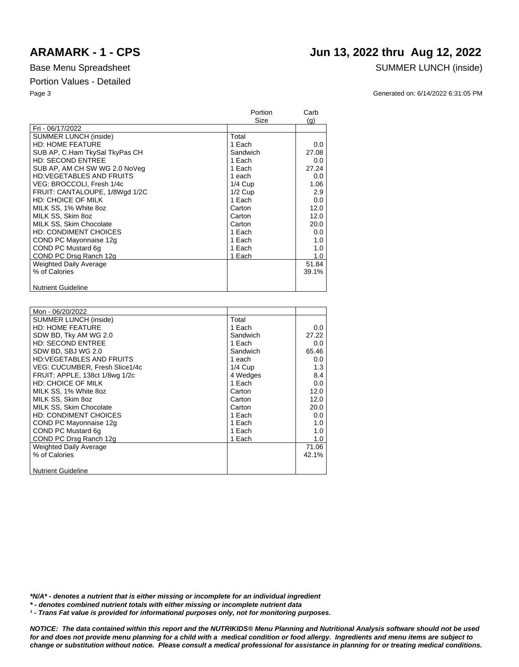## **ARAMARK - 1 - CPS Jun 13, 2022 thru Aug 12, 2022**

### Base Menu Spreadsheet SUMMER LUNCH (inside)

Page 3 Generated on: 6/14/2022 6:31:05 PM

|                                 | Portion   | Carb  |
|---------------------------------|-----------|-------|
|                                 | Size      | (q)   |
| Fri - 06/17/2022                |           |       |
| SUMMER LUNCH (inside)           | Total     |       |
| <b>HD: HOME FEATURE</b>         | 1 Each    | 0.0   |
| SUB AP, C.Ham TkySal TkyPas CH  | Sandwich  | 27.08 |
| <b>HD: SECOND ENTREE</b>        | 1 Each    | 0.0   |
| SUB AP, AM CH SW WG 2.0 NoVeg   | 1 Each    | 27.24 |
| <b>HD:VEGETABLES AND FRUITS</b> | 1 each    | 0.0   |
| VEG: BROCCOLI, Fresh 1/4c       | $1/4$ Cup | 1.06  |
| FRUIT: CANTALOUPE, 1/8Wgd 1/2C  | $1/2$ Cup | 2.9   |
| <b>HD: CHOICE OF MILK</b>       | 1 Each    | 0.0   |
| MILK SS, 1% White 8oz           | Carton    | 12.0  |
| MILK SS, Skim 8oz               | Carton    | 12.0  |
| MILK SS, Skim Chocolate         | Carton    | 20.0  |
| <b>HD: CONDIMENT CHOICES</b>    | 1 Each    | 0.0   |
| COND PC Mayonnaise 12g          | 1 Each    | 1.0   |
| COND PC Mustard 6q              | 1 Each    | 1.0   |
| COND PC Drsg Ranch 12g          | 1 Each    | 1.0   |
| <b>Weighted Daily Average</b>   |           | 51.84 |
| % of Calories                   |           | 39.1% |
|                                 |           |       |
| <b>Nutrient Guideline</b>       |           |       |

| Mon - 06/20/2022               |           |       |
|--------------------------------|-----------|-------|
| <b>SUMMER LUNCH (inside)</b>   | Total     |       |
| <b>HD: HOME FEATURE</b>        | 1 Each    | 0.0   |
| SDW BD, Tky AM WG 2.0          | Sandwich  | 27.22 |
| <b>HD: SECOND ENTREE</b>       | 1 Each    | 0.0   |
| SDW BD, SBJ WG 2.0             | Sandwich  | 65.46 |
| HD:VEGETABLES AND FRUITS       | 1 each    | 0.0   |
| VEG: CUCUMBER, Fresh Slice1/4c | $1/4$ Cup | 1.3   |
| FRUIT: APPLE, 138ct 1/8wg 1/2c | 4 Wedges  | 8.4   |
| HD: CHOICE OF MILK             | 1 Each    | 0.0   |
| MILK SS, 1% White 8oz          | Carton    | 12.0  |
| MILK SS, Skim 8oz              | Carton    | 12.0  |
| MILK SS, Skim Chocolate        | Carton    | 20.0  |
| HD: CONDIMENT CHOICES          | 1 Each    | 0.0   |
| COND PC Mayonnaise 12g         | 1 Each    | 1.0   |
| COND PC Mustard 6q             | 1 Each    | 1.0   |
| COND PC Drsg Ranch 12g         | 1 Each    | 1.0   |
| Weighted Daily Average         |           | 71.06 |
| % of Calories                  |           | 42.1% |
|                                |           |       |
| <b>Nutrient Guideline</b>      |           |       |

*\*N/A\* - denotes a nutrient that is either missing or incomplete for an individual ingredient*

*\* - denotes combined nutrient totals with either missing or incomplete nutrient data*

*¹ - Trans Fat value is provided for informational purposes only, not for monitoring purposes.*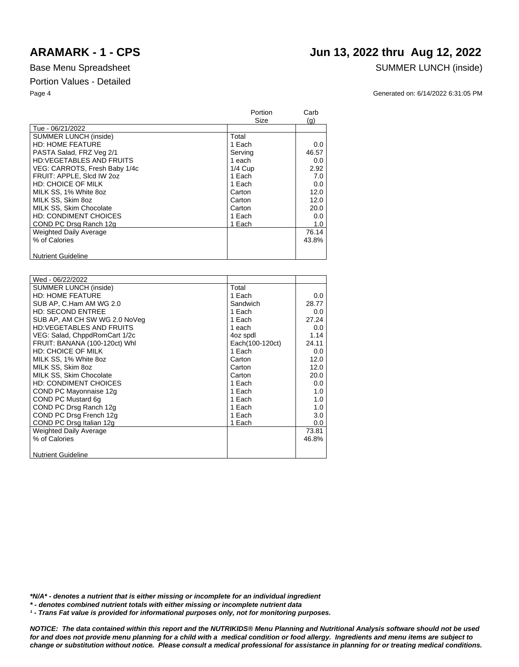## **ARAMARK - 1 - CPS Jun 13, 2022 thru Aug 12, 2022**

### Base Menu Spreadsheet SUMMER LUNCH (inside)

Page 4 Generated on: 6/14/2022 6:31:05 PM

|                                 | Portion<br>Size | Carb<br>(q) |
|---------------------------------|-----------------|-------------|
| Tue - 06/21/2022                |                 |             |
| <b>SUMMER LUNCH (inside)</b>    | Total           |             |
| <b>HD: HOME FEATURE</b>         | 1 Each          | 0.0         |
| PASTA Salad, FRZ Veg 2/1        | Serving         | 46.57       |
| <b>HD:VEGETABLES AND FRUITS</b> | 1 each          | 0.0         |
| VEG: CARROTS, Fresh Baby 1/4c   | $1/4$ Cup       | 2.92        |
| FRUIT: APPLE, Slcd IW 2oz       | 1 Each          | 7.0         |
| <b>HD: CHOICE OF MILK</b>       | 1 Each          | 0.0         |
| MILK SS, 1% White 8oz           | Carton          | 12.0        |
| MILK SS, Skim 8oz               | Carton          | 12.0        |
| MILK SS, Skim Chocolate         | Carton          | 20.0        |
| <b>HD: CONDIMENT CHOICES</b>    | 1 Each          | 0.0         |
| COND PC Drsg Ranch 12g          | 1 Each          | 1.0         |
| Weighted Daily Average          |                 | 76.14       |
| % of Calories                   |                 | 43.8%       |
| <b>Nutrient Guideline</b>       |                 |             |

| Wed - 06/22/2022                |                 |         |
|---------------------------------|-----------------|---------|
| <b>SUMMER LUNCH (inside)</b>    | Total           |         |
| <b>HD: HOME FEATURE</b>         | 1 Each          | $0.0\,$ |
| SUB AP, C.Ham AM WG 2.0         | Sandwich        | 28.77   |
| <b>HD: SECOND ENTREE</b>        | 1 Each          | 0.0     |
| SUB AP, AM CH SW WG 2.0 NoVeg   | 1 Each          | 27.24   |
| <b>HD:VEGETABLES AND FRUITS</b> | 1 each          | $0.0\,$ |
| VEG: Salad, ChppdRomCart 1/2c   | 4oz spdl        | 1.14    |
| FRUIT: BANANA (100-120ct) Whl   | Each(100-120ct) | 24.11   |
| <b>HD: CHOICE OF MILK</b>       | 1 Each          | 0.0     |
| MILK SS, 1% White 8oz           | Carton          | 12.0    |
| MILK SS. Skim 8oz               | Carton          | 12.0    |
| MILK SS, Skim Chocolate         | Carton          | 20.0    |
| HD: CONDIMENT CHOICES           | 1 Each          | $0.0\,$ |
| COND PC Mayonnaise 12g          | 1 Each          | 1.0     |
| COND PC Mustard 6q              | 1 Each          | 1.0     |
| COND PC Drsg Ranch 12g          | 1 Each          | 1.0     |
| COND PC Drsg French 12g         | 1 Each          | 3.0     |
| COND PC Drsg Italian 12g        | 1 Each          | $0.0\,$ |
| Weighted Daily Average          |                 | 73.81   |
| % of Calories                   |                 | 46.8%   |
|                                 |                 |         |
| <b>Nutrient Guideline</b>       |                 |         |

*\*N/A\* - denotes a nutrient that is either missing or incomplete for an individual ingredient*

*\* - denotes combined nutrient totals with either missing or incomplete nutrient data*

<sup>1</sup> - Trans Fat value is provided for informational purposes only, not for monitoring purposes.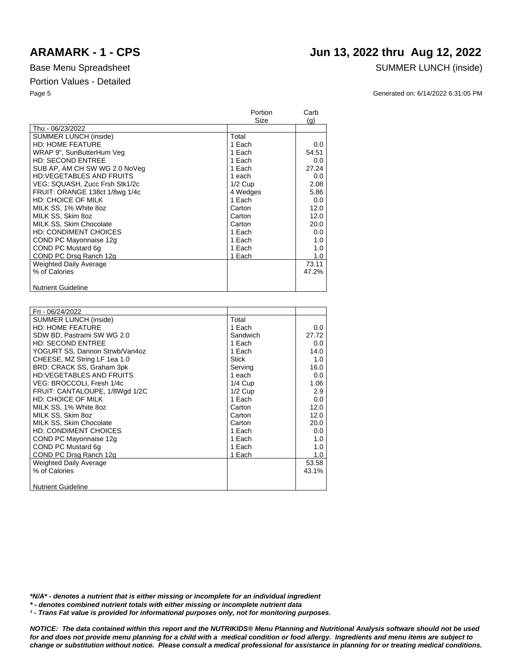Thu - 06/23/2022

### Page 5 Generated on: 6/14/2022 6:31:05 PM Portion Carb Size (g) SUMMER LUNCH (inside) **Total** 1 Each  $0.0$

| <b>HD: HOME FEATURE</b>         | 1 Each    | 0.0   |
|---------------------------------|-----------|-------|
| WRAP 9", SunButterHum Veg       | 1 Each    | 54.51 |
| <b>HD: SECOND ENTREE</b>        | 1 Each    | 0.0   |
| SUB AP, AM CH SW WG 2.0 NoVeg   | 1 Each    | 27.24 |
| <b>HD:VEGETABLES AND FRUITS</b> | 1 each    | 0.0   |
| VEG: SQUASH, Zucc Frsh Stk1/2c  | $1/2$ Cup | 2.08  |
| FRUIT: ORANGE 138ct 1/8wg 1/4c  | 4 Wedges  | 5.86  |
| <b>HD: CHOICE OF MILK</b>       | 1 Each    | 0.0   |
| MILK SS, 1% White 8oz           | Carton    | 12.0  |
| MILK SS. Skim 8oz               | Carton    | 12.0  |
| MILK SS. Skim Chocolate         | Carton    | 20.0  |
| <b>HD: CONDIMENT CHOICES</b>    | 1 Each    | 0.0   |
| COND PC Mayonnaise 12g          | 1 Each    | 1.0   |
| COND PC Mustard 6g              | 1 Each    | 1.0   |
| COND PC Drsg Ranch 12g          | 1 Each    | 1.0   |
| <b>Weighted Daily Average</b>   |           | 73.11 |
| % of Calories                   |           | 47.2% |
|                                 |           |       |
| <b>Nutrient Guideline</b>       |           |       |

| Fri - 06/24/2022                |           |       |
|---------------------------------|-----------|-------|
| <b>SUMMER LUNCH (inside)</b>    | Total     |       |
| <b>HD: HOME FEATURE</b>         | 1 Each    | 0.0   |
|                                 |           |       |
| SDW BD, Pastrami SW WG 2.0      | Sandwich  | 27.72 |
| <b>HD: SECOND ENTREE</b>        | 1 Each    | 0.0   |
| YOGURT SS, Dannon Strwb/Van4oz  | 1 Each    | 14.0  |
| CHEESE, MZ String LF 1ea 1.0    | Stick     | 1.0   |
| BRD: CRACK SS, Graham 3pk       | Serving   | 16.0  |
| <b>HD:VEGETABLES AND FRUITS</b> | 1 each    | 0.0   |
| VEG: BROCCOLI, Fresh 1/4c       | $1/4$ Cup | 1.06  |
| FRUIT: CANTALOUPE, 1/8Wgd 1/2C  | $1/2$ Cup | 2.9   |
| <b>HD: CHOICE OF MILK</b>       | 1 Each    | 0.0   |
| MILK SS, 1% White 8oz           | Carton    | 12.0  |
| MILK SS, Skim 8oz               | Carton    | 12.0  |
| MILK SS, Skim Chocolate         | Carton    | 20.0  |
| <b>HD: CONDIMENT CHOICES</b>    | 1 Each    | 0.0   |
| COND PC Mayonnaise 12g          | 1 Each    | 1.0   |
| COND PC Mustard 6g              | 1 Each    | 1.0   |
| COND PC Drsg Ranch 12g          | 1 Each    | 1.0   |
| <b>Weighted Daily Average</b>   |           | 53.58 |
| % of Calories                   |           | 43.1% |
|                                 |           |       |
| <b>Nutrient Guideline</b>       |           |       |

*\*N/A\* - denotes a nutrient that is either missing or incomplete for an individual ingredient*

*\* - denotes combined nutrient totals with either missing or incomplete nutrient data*

*¹ - Trans Fat value is provided for informational purposes only, not for monitoring purposes.*

*NOTICE: The data contained within this report and the NUTRIKIDS® Menu Planning and Nutritional Analysis software should not be used for and does not provide menu planning for a child with a medical condition or food allergy. Ingredients and menu items are subject to change or substitution without notice. Please consult a medical professional for assistance in planning for or treating medical conditions.*

## **ARAMARK - 1 - CPS Jun 13, 2022 thru Aug 12, 2022**

Base Menu Spreadsheet SUMMER LUNCH (inside)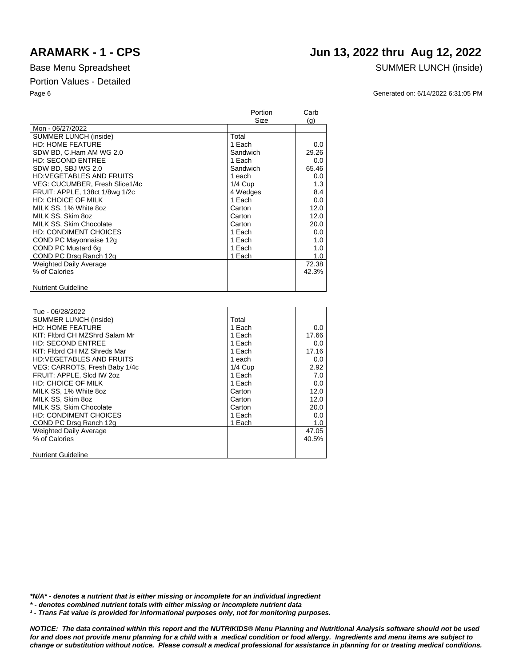## **ARAMARK - 1 - CPS Jun 13, 2022 thru Aug 12, 2022**

### Base Menu Spreadsheet SUMMER LUNCH (inside)

Page 6 Generated on: 6/14/2022 6:31:05 PM

|                                 | Portion   | Carb  |
|---------------------------------|-----------|-------|
|                                 | Size      | (g)   |
| Mon - 06/27/2022                |           |       |
| SUMMER LUNCH (inside)           | Total     |       |
| <b>HD: HOME FEATURE</b>         | 1 Each    | 0.0   |
| SDW BD, C.Ham AM WG 2.0         | Sandwich  | 29.26 |
| <b>HD: SECOND ENTREE</b>        | 1 Each    | 0.0   |
| SDW BD, SBJ WG 2.0              | Sandwich  | 65.46 |
| <b>HD:VEGETABLES AND FRUITS</b> | 1 each    | 0.0   |
| VEG: CUCUMBER, Fresh Slice1/4c  | $1/4$ Cup | 1.3   |
| FRUIT: APPLE, 138ct 1/8wg 1/2c  | 4 Wedges  | 8.4   |
| <b>HD: CHOICE OF MILK</b>       | 1 Each    | 0.0   |
| MILK SS, 1% White 8oz           | Carton    | 12.0  |
| MILK SS. Skim 8oz               | Carton    | 12.0  |
| MILK SS, Skim Chocolate         | Carton    | 20.0  |
| <b>HD: CONDIMENT CHOICES</b>    | 1 Each    | 0.0   |
| COND PC Mayonnaise 12g          | 1 Each    | 1.0   |
| COND PC Mustard 6q              | 1 Each    | 1.0   |
| COND PC Drsg Ranch 12g          | 1 Each    | 1.0   |
| <b>Weighted Daily Average</b>   |           | 72.38 |
| % of Calories                   |           | 42.3% |
|                                 |           |       |
| <b>Nutrient Guideline</b>       |           |       |

| Tue - 06/28/2022                |           |       |
|---------------------------------|-----------|-------|
| <b>SUMMER LUNCH (inside)</b>    | Total     |       |
| <b>HD: HOME FEATURE</b>         | 1 Each    | 0.0   |
| KIT: Fltbrd CH MZShrd Salam Mr  | 1 Each    | 17.66 |
| <b>HD: SECOND ENTREE</b>        | 1 Each    | 0.0   |
| KIT: Fitbrd CH MZ Shreds Mar    | 1 Each    | 17.16 |
| <b>HD:VEGETABLES AND FRUITS</b> | 1 each    | 0.0   |
| VEG: CARROTS, Fresh Baby 1/4c   | $1/4$ Cup | 2.92  |
| FRUIT: APPLE, SIcd IW 202       | 1 Each    | 7.0   |
| HD: CHOICE OF MILK              | 1 Each    | 0.0   |
| MILK SS, 1% White 8oz           | Carton    | 12.0  |
| MILK SS, Skim 8oz               | Carton    | 12.0  |
| MILK SS, Skim Chocolate         | Carton    | 20.0  |
| HD: CONDIMENT CHOICES           | 1 Each    | 0.0   |
| COND PC Drsg Ranch 12g          | 1 Each    | 1.0   |
| <b>Weighted Daily Average</b>   |           | 47.05 |
| % of Calories                   |           | 40.5% |
|                                 |           |       |
| <b>Nutrient Guideline</b>       |           |       |
|                                 |           |       |

*\*N/A\* - denotes a nutrient that is either missing or incomplete for an individual ingredient*

*\* - denotes combined nutrient totals with either missing or incomplete nutrient data*

*¹ - Trans Fat value is provided for informational purposes only, not for monitoring purposes.*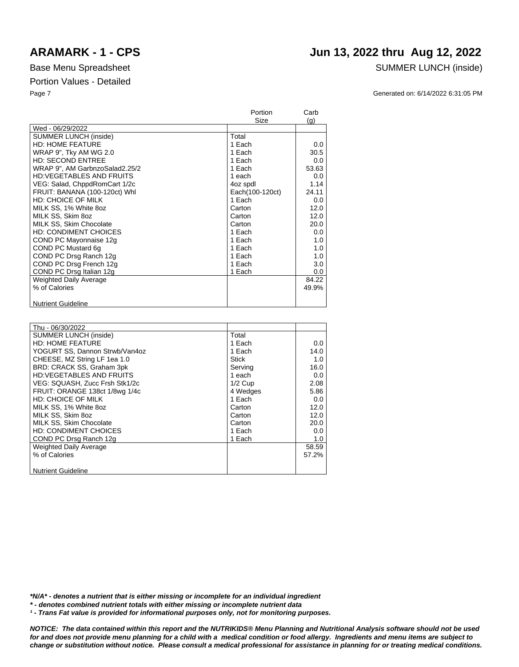**Nutrient Guideline** 

|                                 | Portion         | Carb    |
|---------------------------------|-----------------|---------|
|                                 | Size            | (q)     |
| Wed - 06/29/2022                |                 |         |
| <b>SUMMER LUNCH (inside)</b>    | Total           |         |
| <b>HD: HOME FEATURE</b>         | 1 Each          | 0.0     |
| WRAP 9", Tky AM WG 2.0          | 1 Each          | 30.5    |
| <b>HD: SECOND ENTREE</b>        | 1 Each          | 0.0     |
| WRAP 9", AM GarbnzoSalad2.25/2  | 1 Each          | 53.63   |
| <b>HD:VEGETABLES AND FRUITS</b> | 1 each          | 0.0     |
| VEG: Salad, ChppdRomCart 1/2c   | 4oz spdl        | 1.14    |
| FRUIT: BANANA (100-120ct) Whl   | Each(100-120ct) | 24.11   |
| <b>HD: CHOICE OF MILK</b>       | 1 Each          | 0.0     |
| MILK SS, 1% White 8oz           | Carton          | 12.0    |
| MILK SS, Skim 8oz               | Carton          | 12.0    |
| MILK SS, Skim Chocolate         | Carton          | 20.0    |
| <b>HD: CONDIMENT CHOICES</b>    | 1 Each          | 0.0     |
| COND PC Mayonnaise 12g          | 1 Each          | 1.0     |
| COND PC Mustard 6q              | 1 Each          | 1.0     |
| COND PC Drsg Ranch 12g          | 1 Each          | 1.0     |
| COND PC Drsg French 12g         | 1 Each          | 3.0     |
| COND PC Drsg Italian 12g        | 1 Each          | $0.0\,$ |
| <b>Weighted Daily Average</b>   |                 | 84.22   |
| % of Calories                   |                 | 49.9%   |
|                                 |                 |         |

| Thu - 06/30/2022                |           |       |
|---------------------------------|-----------|-------|
| <b>SUMMER LUNCH (inside)</b>    | Total     |       |
| <b>HD: HOME FEATURE</b>         | 1 Each    | 0.0   |
| YOGURT SS, Dannon Strwb/Van4oz  | 1 Each    | 14.0  |
| CHEESE, MZ String LF 1ea 1.0    | Stick     | 1.0   |
| BRD: CRACK SS, Graham 3pk       | Serving   | 16.0  |
| <b>HD:VEGETABLES AND FRUITS</b> | 1 each    | 0.0   |
| VEG: SQUASH, Zucc Frsh Stk1/2c  | $1/2$ Cup | 2.08  |
| FRUIT: ORANGE 138ct 1/8wg 1/4c  | 4 Wedges  | 5.86  |
| <b>HD: CHOICE OF MILK</b>       | 1 Each    | 0.0   |
| MILK SS, 1% White 8oz           | Carton    | 12.0  |
| MILK SS. Skim 8oz               | Carton    | 12.0  |
| MILK SS, Skim Chocolate         | Carton    | 20.0  |
| <b>HD: CONDIMENT CHOICES</b>    | 1 Each    | 0.0   |
| COND PC Drsg Ranch 12g          | 1 Each    | 1.0   |
| <b>Weighted Daily Average</b>   |           | 58.59 |
| % of Calories                   |           | 57.2% |
|                                 |           |       |
| <b>Nutrient Guideline</b>       |           |       |

### *\*N/A\* - denotes a nutrient that is either missing or incomplete for an individual ingredient*

*\* - denotes combined nutrient totals with either missing or incomplete nutrient data*

*¹ - Trans Fat value is provided for informational purposes only, not for monitoring purposes.*

*NOTICE: The data contained within this report and the NUTRIKIDS® Menu Planning and Nutritional Analysis software should not be used for and does not provide menu planning for a child with a medical condition or food allergy. Ingredients and menu items are subject to change or substitution without notice. Please consult a medical professional for assistance in planning for or treating medical conditions.*

## **ARAMARK - 1 - CPS Jun 13, 2022 thru Aug 12, 2022**

Base Menu Spreadsheet SUMMER LUNCH (inside)

Page 7 Generated on: 6/14/2022 6:31:05 PM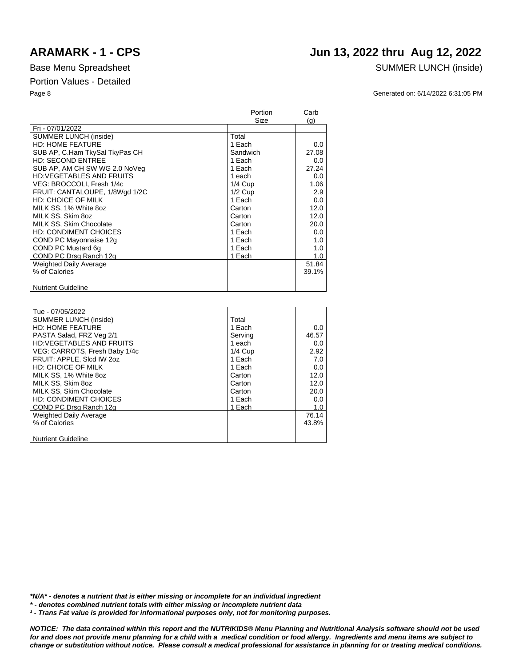## **ARAMARK - 1 - CPS Jun 13, 2022 thru Aug 12, 2022**

### Base Menu Spreadsheet SUMMER LUNCH (inside)

Page 8 Generated on: 6/14/2022 6:31:05 PM

|                                 | Portion   | Carb  |
|---------------------------------|-----------|-------|
|                                 | Size      | (q)   |
| Fri - 07/01/2022                |           |       |
| <b>SUMMER LUNCH (inside)</b>    | Total     |       |
| <b>HD: HOME FEATURE</b>         | 1 Each    | 0.0   |
| SUB AP, C.Ham TkySal TkyPas CH  | Sandwich  | 27.08 |
| <b>HD: SECOND ENTREE</b>        | 1 Each    | 0.0   |
| SUB AP, AM CH SW WG 2.0 NoVeg   | 1 Each    | 27.24 |
| <b>HD:VEGETABLES AND FRUITS</b> | 1 each    | 0.0   |
| VEG: BROCCOLI, Fresh 1/4c       | $1/4$ Cup | 1.06  |
| FRUIT: CANTALOUPE, 1/8Wgd 1/2C  | $1/2$ Cup | 2.9   |
| <b>HD: CHOICE OF MILK</b>       | 1 Each    | 0.0   |
| MILK SS, 1% White 8oz           | Carton    | 12.0  |
| MILK SS. Skim 8oz               | Carton    | 12.0  |
| MILK SS, Skim Chocolate         | Carton    | 20.0  |
| <b>HD: CONDIMENT CHOICES</b>    | 1 Each    | 0.0   |
| COND PC Mayonnaise 12g          | 1 Each    | 1.0   |
| COND PC Mustard 6q              | 1 Each    | 1.0   |
| COND PC Drsg Ranch 12g          | 1 Each    | 1.0   |
| <b>Weighted Daily Average</b>   |           | 51.84 |
| % of Calories                   |           | 39.1% |
|                                 |           |       |
| <b>Nutrient Guideline</b>       |           |       |

| Tue - 07/05/2022                |           |       |
|---------------------------------|-----------|-------|
| <b>SUMMER LUNCH (inside)</b>    | Total     |       |
| <b>HD: HOME FEATURE</b>         | 1 Each    | 0.0   |
| PASTA Salad, FRZ Veg 2/1        | Serving   | 46.57 |
| <b>HD:VEGETABLES AND FRUITS</b> | 1 each    | 0.0   |
| VEG: CARROTS, Fresh Baby 1/4c   | $1/4$ Cup | 2.92  |
| FRUIT: APPLE, Slcd IW 2oz       | 1 Each    | 7.0   |
| <b>HD: CHOICE OF MILK</b>       | 1 Each    | 0.0   |
| MILK SS, 1% White 8oz           | Carton    | 12.0  |
| MILK SS. Skim 8oz               | Carton    | 12.0  |
| MILK SS, Skim Chocolate         | Carton    | 20.0  |
| <b>HD: CONDIMENT CHOICES</b>    | 1 Each    | 0.0   |
| COND PC Drsg Ranch 12g          | 1 Each    | 1.0   |
| <b>Weighted Daily Average</b>   |           | 76.14 |
| % of Calories                   |           | 43.8% |
|                                 |           |       |
| <b>Nutrient Guideline</b>       |           |       |

*\*N/A\* - denotes a nutrient that is either missing or incomplete for an individual ingredient*

*\* - denotes combined nutrient totals with either missing or incomplete nutrient data*

*¹ - Trans Fat value is provided for informational purposes only, not for monitoring purposes.*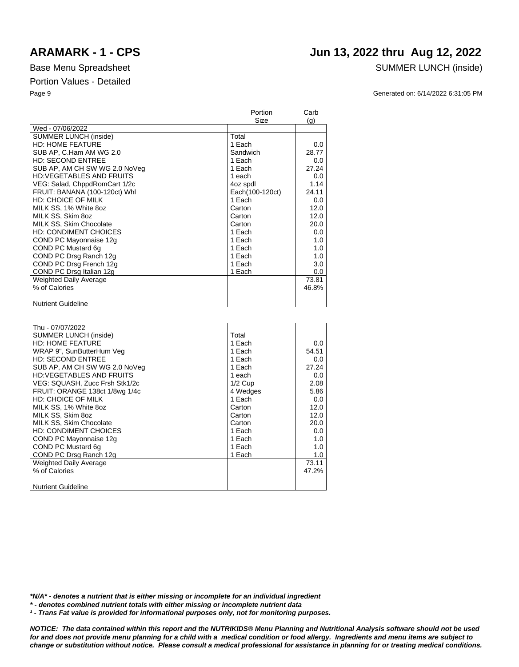## **ARAMARK - 1 - CPS Jun 13, 2022 thru Aug 12, 2022**

### Base Menu Spreadsheet SUMMER LUNCH (inside)

Page 9 Generated on: 6/14/2022 6:31:05 PM

|                                 | Portion         | Carb  |
|---------------------------------|-----------------|-------|
|                                 | Size            | (g)   |
| Wed - 07/06/2022                |                 |       |
| SUMMER LUNCH (inside)           | Total           |       |
| <b>HD: HOME FEATURE</b>         | 1 Each          | 0.0   |
| SUB AP, C.Ham AM WG 2.0         | Sandwich        | 28.77 |
| HD: SECOND ENTREE               | 1 Each          | 0.0   |
| SUB AP, AM CH SW WG 2.0 NoVeg   | 1 Each          | 27.24 |
| <b>HD:VEGETABLES AND FRUITS</b> | 1 each          | 0.0   |
| VEG: Salad, ChppdRomCart 1/2c   | 4oz spdl        | 1.14  |
| FRUIT: BANANA (100-120ct) Whl   | Each(100-120ct) | 24.11 |
| <b>HD: CHOICE OF MILK</b>       | 1 Each          | 0.0   |
| MILK SS, 1% White 8oz           | Carton          | 12.0  |
| MILK SS, Skim 8oz               | Carton          | 12.0  |
| MILK SS, Skim Chocolate         | Carton          | 20.0  |
| <b>HD: CONDIMENT CHOICES</b>    | 1 Each          | 0.0   |
| COND PC Mayonnaise 12g          | 1 Each          | 1.0   |
| COND PC Mustard 6q              | 1 Each          | 1.0   |
| COND PC Drsg Ranch 12g          | 1 Each          | 1.0   |
| COND PC Drsg French 12g         | 1 Each          | 3.0   |
| COND PC Drsg Italian 12g        | 1 Each          | 0.0   |
| <b>Weighted Daily Average</b>   |                 | 73.81 |
| % of Calories                   |                 | 46.8% |
|                                 |                 |       |
| <b>Nutrient Guideline</b>       |                 |       |

| Thu - 07/07/2022                |           |       |
|---------------------------------|-----------|-------|
| SUMMER LUNCH (inside)           | Total     |       |
| <b>HD: HOME FEATURE</b>         | 1 Each    | 0.0   |
| WRAP 9", SunButterHum Veg       | 1 Each    | 54.51 |
| <b>HD: SECOND ENTREE</b>        | 1 Each    | 0.0   |
| SUB AP, AM CH SW WG 2.0 NoVeg   | 1 Each    | 27.24 |
| <b>HD:VEGETABLES AND FRUITS</b> | 1 each    | 0.0   |
| VEG: SQUASH, Zucc Frsh Stk1/2c  | $1/2$ Cup | 2.08  |
| FRUIT: ORANGE 138ct 1/8wg 1/4c  | 4 Wedges  | 5.86  |
| <b>HD: CHOICE OF MILK</b>       | 1 Each    | 0.0   |
| MILK SS, 1% White 8oz           | Carton    | 12.0  |
| MILK SS. Skim 8oz               | Carton    | 12.0  |
| MILK SS, Skim Chocolate         | Carton    | 20.0  |
| <b>HD: CONDIMENT CHOICES</b>    | 1 Each    | 0.0   |
| COND PC Mayonnaise 12g          | 1 Each    | 1.0   |
| COND PC Mustard 6q              | 1 Each    | 1.0   |
| COND PC Drsg Ranch 12g          | 1 Each    | 1.0   |
| <b>Weighted Daily Average</b>   |           | 73.11 |
| % of Calories                   |           | 47.2% |
|                                 |           |       |
| <b>Nutrient Guideline</b>       |           |       |

*\*N/A\* - denotes a nutrient that is either missing or incomplete for an individual ingredient*

*\* - denotes combined nutrient totals with either missing or incomplete nutrient data*

*¹ - Trans Fat value is provided for informational purposes only, not for monitoring purposes.*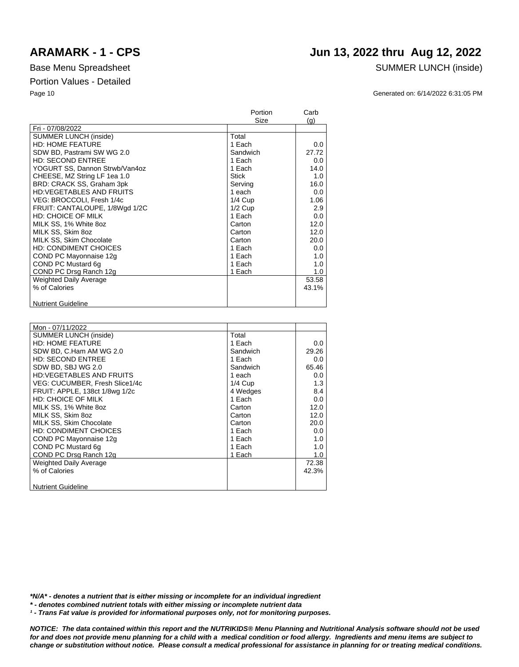## **ARAMARK - 1 - CPS Jun 13, 2022 thru Aug 12, 2022**

### Base Menu Spreadsheet SUMMER LUNCH (inside)

Page 10 Generated on: 6/14/2022 6:31:05 PM

|                                 | Portion      | Carb    |
|---------------------------------|--------------|---------|
|                                 | Size         | (q)     |
| Fri - 07/08/2022                |              |         |
| <b>SUMMER LUNCH (inside)</b>    | Total        |         |
| <b>HD: HOME FEATURE</b>         | 1 Each       | $0.0\,$ |
| SDW BD, Pastrami SW WG 2.0      | Sandwich     | 27.72   |
| <b>HD: SECOND ENTREE</b>        | 1 Each       | 0.0     |
| YOGURT SS, Dannon Strwb/Van4oz  | 1 Each       | 14.0    |
| CHEESE, MZ String LF 1ea 1.0    | <b>Stick</b> | 1.0     |
| BRD: CRACK SS, Graham 3pk       | Serving      | 16.0    |
| <b>HD:VEGETABLES AND FRUITS</b> | 1 each       | 0.0     |
| VEG: BROCCOLI, Fresh 1/4c       | $1/4$ Cup    | 1.06    |
| FRUIT: CANTALOUPE, 1/8Wgd 1/2C  | $1/2$ Cup    | 2.9     |
| <b>HD: CHOICE OF MILK</b>       | 1 Each       | 0.0     |
| MILK SS, 1% White 8oz           | Carton       | 12.0    |
| MILK SS, Skim 8oz               | Carton       | 12.0    |
| MILK SS, Skim Chocolate         | Carton       | 20.0    |
| <b>HD: CONDIMENT CHOICES</b>    | 1 Each       | 0.0     |
| COND PC Mayonnaise 12g          | 1 Each       | 1.0     |
| COND PC Mustard 6g              | 1 Each       | 1.0     |
| COND PC Drsg Ranch 12g          | 1 Each       | 1.0     |
| Weighted Daily Average          |              | 53.58   |
| % of Calories                   |              | 43.1%   |
|                                 |              |         |
| <b>Nutrient Guideline</b>       |              |         |

| Mon - 07/11/2022                |           |       |
|---------------------------------|-----------|-------|
| <b>SUMMER LUNCH (inside)</b>    | Total     |       |
| <b>HD: HOME FEATURE</b>         | 1 Each    | 0.0   |
| SDW BD, C.Ham AM WG 2.0         | Sandwich  | 29.26 |
| <b>HD: SECOND ENTREE</b>        | 1 Each    | 0.0   |
| SDW BD, SBJ WG 2.0              | Sandwich  | 65.46 |
| <b>HD:VEGETABLES AND FRUITS</b> | 1 each    | 0.0   |
| VEG: CUCUMBER, Fresh Slice1/4c  | $1/4$ Cup | 1.3   |
| FRUIT: APPLE, 138ct 1/8wg 1/2c  | 4 Wedges  | 8.4   |
| <b>HD: CHOICE OF MILK</b>       | 1 Each    | 0.0   |
| MILK SS, 1% White 8oz           | Carton    | 12.0  |
| MILK SS, Skim 8oz               | Carton    | 12.0  |
| MILK SS. Skim Chocolate         | Carton    | 20.0  |
| <b>HD: CONDIMENT CHOICES</b>    | 1 Each    | 0.0   |
| COND PC Mayonnaise 12g          | 1 Each    | 1.0   |
| COND PC Mustard 6q              | 1 Each    | 1.0   |
| COND PC Drsg Ranch 12g          | 1 Each    | 1.0   |
| Weighted Daily Average          |           | 72.38 |
| % of Calories                   |           | 42.3% |
|                                 |           |       |
| <b>Nutrient Guideline</b>       |           |       |

*\*N/A\* - denotes a nutrient that is either missing or incomplete for an individual ingredient*

*\* - denotes combined nutrient totals with either missing or incomplete nutrient data*

*¹ - Trans Fat value is provided for informational purposes only, not for monitoring purposes.*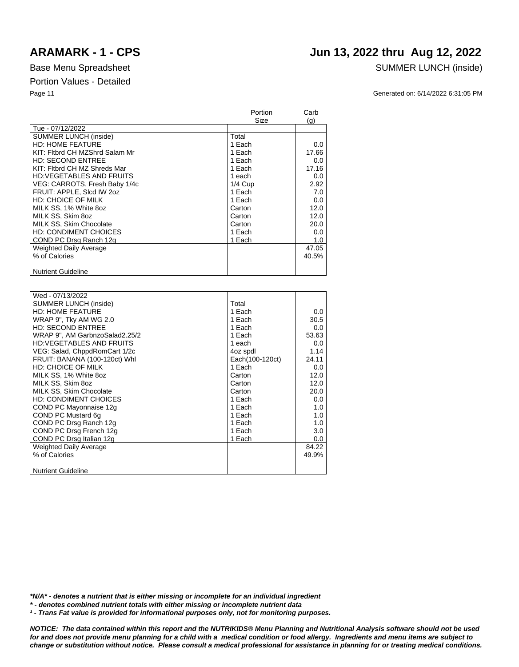### **ARAMARK - 1 - CPS Jun 13, 2022 thru Aug 12, 2022**

### Base Menu Spreadsheet SUMMER LUNCH (inside)

Page 11 Generated on: 6/14/2022 6:31:05 PM

|                                 | Portion   | Carb  |
|---------------------------------|-----------|-------|
|                                 | Size      | (q)   |
| Tue - 07/12/2022                |           |       |
| <b>SUMMER LUNCH (inside)</b>    | Total     |       |
| <b>HD: HOME FEATURE</b>         | 1 Each    | 0.0   |
| KIT: Fitbrd CH MZShrd Salam Mr  | 1 Each    | 17.66 |
| <b>HD: SECOND ENTREE</b>        | 1 Each    | 0.0   |
| KIT: Fitbrd CH MZ Shreds Mar    | 1 Each    | 17.16 |
| <b>HD:VEGETABLES AND FRUITS</b> | 1 each    | 0.0   |
| VEG: CARROTS, Fresh Baby 1/4c   | $1/4$ Cup | 2.92  |
| FRUIT: APPLE, Sicd IW 202       | 1 Each    | 7.0   |
| <b>HD: CHOICE OF MILK</b>       | 1 Each    | 0.0   |
| MILK SS, 1% White 8oz           | Carton    | 12.0  |
| MILK SS, Skim 8oz               | Carton    | 12.0  |
| MILK SS, Skim Chocolate         | Carton    | 20.0  |
| <b>HD: CONDIMENT CHOICES</b>    | 1 Each    | 0.0   |
| COND PC Drsg Ranch 12g          | 1 Each    | 1.0   |
| <b>Weighted Daily Average</b>   |           | 47.05 |
| % of Calories                   |           | 40.5% |
|                                 |           |       |
| <b>Nutrient Guideline</b>       |           |       |

| Wed - 07/13/2022                |                 |       |
|---------------------------------|-----------------|-------|
| <b>SUMMER LUNCH (inside)</b>    | Total           |       |
| <b>HD: HOME FEATURE</b>         | 1 Each          | 0.0   |
| WRAP 9", Tky AM WG 2.0          | 1 Each          | 30.5  |
| <b>HD: SECOND ENTREE</b>        | 1 Each          | 0.0   |
| WRAP 9", AM GarbnzoSalad2.25/2  | 1 Each          | 53.63 |
| <b>HD:VEGETABLES AND FRUITS</b> | 1 each          | 0.0   |
| VEG: Salad, ChppdRomCart 1/2c   | 4oz spdl        | 1.14  |
| FRUIT: BANANA (100-120ct) Whl   | Each(100-120ct) | 24.11 |
| <b>HD: CHOICE OF MILK</b>       | 1 Each          | 0.0   |
| MILK SS, 1% White 8oz           | Carton          | 12.0  |
| MILK SS, Skim 8oz               | Carton          | 12.0  |
| MILK SS, Skim Chocolate         | Carton          | 20.0  |
| <b>HD: CONDIMENT CHOICES</b>    | 1 Each          | 0.0   |
| COND PC Mayonnaise 12g          | 1 Each          | 1.0   |
| COND PC Mustard 6g              | 1 Each          | 1.0   |
| COND PC Drsg Ranch 12g          | 1 Each          | 1.0   |
| COND PC Drsg French 12g         | 1 Each          | 3.0   |
|                                 |                 |       |
| COND PC Drsg Italian 12g        | 1 Each          | 0.0   |
| <b>Weighted Daily Average</b>   |                 | 84.22 |
| % of Calories                   |                 | 49.9% |
|                                 |                 |       |
| <b>Nutrient Guideline</b>       |                 |       |

*\*N/A\* - denotes a nutrient that is either missing or incomplete for an individual ingredient*

*\* - denotes combined nutrient totals with either missing or incomplete nutrient data*

<sup>1</sup> - Trans Fat value is provided for informational purposes only, not for monitoring purposes.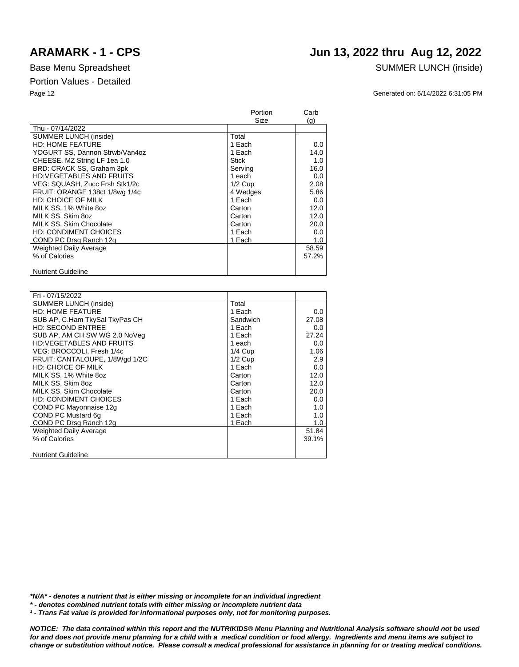## **ARAMARK - 1 - CPS Jun 13, 2022 thru Aug 12, 2022**

### Base Menu Spreadsheet SUMMER LUNCH (inside)

Page 12 Generated on: 6/14/2022 6:31:05 PM

|                                 | Portion   | Carb  |
|---------------------------------|-----------|-------|
|                                 | Size      | (q)   |
| Thu - 07/14/2022                |           |       |
| <b>SUMMER LUNCH (inside)</b>    | Total     |       |
| <b>HD: HOME FEATURE</b>         | 1 Each    | 0.0   |
| YOGURT SS, Dannon Strwb/Van4oz  | 1 Each    | 14.0  |
| CHEESE, MZ String LF 1ea 1.0    | Stick     | 1.0   |
| BRD: CRACK SS, Graham 3pk       | Serving   | 16.0  |
| <b>HD:VEGETABLES AND FRUITS</b> | 1 each    | 0.0   |
| VEG: SQUASH, Zucc Frsh Stk1/2c  | $1/2$ Cup | 2.08  |
| FRUIT: ORANGE 138ct 1/8wg 1/4c  | 4 Wedges  | 5.86  |
| <b>HD: CHOICE OF MILK</b>       | 1 Each    | 0.0   |
| MILK SS, 1% White 8oz           | Carton    | 12.0  |
| MILK SS. Skim 8oz               | Carton    | 12.0  |
| MILK SS, Skim Chocolate         | Carton    | 20.0  |
| <b>HD: CONDIMENT CHOICES</b>    | 1 Each    | 0.0   |
| COND PC Drsg Ranch 12g          | 1 Each    | 1.0   |
| Weighted Daily Average          |           | 58.59 |
| % of Calories                   |           | 57.2% |
|                                 |           |       |
| <b>Nutrient Guideline</b>       |           |       |

| Fri - 07/15/2022                |           |       |
|---------------------------------|-----------|-------|
| <b>SUMMER LUNCH (inside)</b>    | Total     |       |
| <b>HD: HOME FEATURE</b>         | 1 Each    | 0.0   |
| SUB AP, C.Ham TkySal TkyPas CH  | Sandwich  | 27.08 |
| <b>HD: SECOND ENTREE</b>        | 1 Each    | 0.0   |
| SUB AP, AM CH SW WG 2.0 NoVeg   | 1 Each    | 27.24 |
| <b>HD:VEGETABLES AND FRUITS</b> | 1 each    | 0.0   |
| VEG: BROCCOLI, Fresh 1/4c       | $1/4$ Cup | 1.06  |
| FRUIT: CANTALOUPE, 1/8Wgd 1/2C  | $1/2$ Cup | 2.9   |
| <b>HD: CHOICE OF MILK</b>       | 1 Each    | 0.0   |
| MILK SS, 1% White 8oz           | Carton    | 12.0  |
| MILK SS, Skim 8oz               | Carton    | 12.0  |
| MILK SS, Skim Chocolate         | Carton    | 20.0  |
| <b>HD: CONDIMENT CHOICES</b>    | 1 Each    | 0.0   |
| COND PC Mayonnaise 12g          | 1 Each    | 1.0   |
| COND PC Mustard 6q              | 1 Each    | 1.0   |
| COND PC Drsg Ranch 12g          | 1 Each    | 1.0   |
| <b>Weighted Daily Average</b>   |           | 51.84 |
| % of Calories                   |           | 39.1% |
|                                 |           |       |
| <b>Nutrient Guideline</b>       |           |       |
|                                 |           |       |

*\*N/A\* - denotes a nutrient that is either missing or incomplete for an individual ingredient*

*\* - denotes combined nutrient totals with either missing or incomplete nutrient data*

*¹ - Trans Fat value is provided for informational purposes only, not for monitoring purposes.*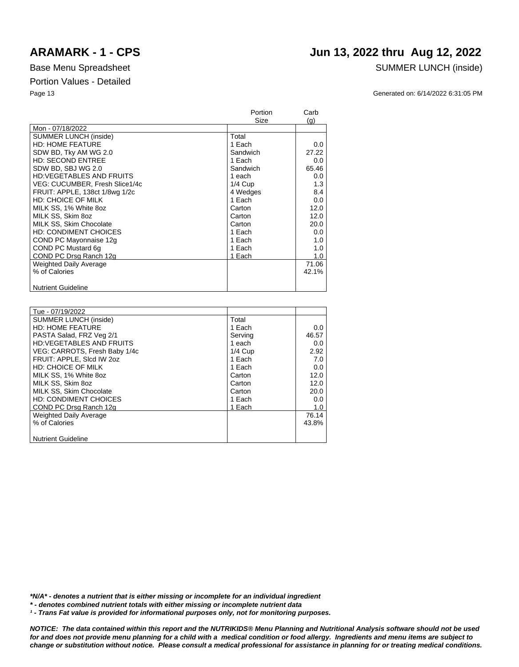## **ARAMARK - 1 - CPS Jun 13, 2022 thru Aug 12, 2022**

### Base Menu Spreadsheet SUMMER LUNCH (inside)

Page 13 Generated on: 6/14/2022 6:31:05 PM

|                                 | Portion   | Carb  |
|---------------------------------|-----------|-------|
|                                 | Size      | (g)   |
| Mon - 07/18/2022                |           |       |
| <b>SUMMER LUNCH (inside)</b>    | Total     |       |
| <b>HD: HOME FEATURE</b>         | 1 Each    | 0.0   |
| SDW BD, Tky AM WG 2.0           | Sandwich  | 27.22 |
| <b>HD: SECOND ENTREE</b>        | 1 Each    | 0.0   |
| SDW BD, SBJ WG 2.0              | Sandwich  | 65.46 |
| <b>HD:VEGETABLES AND FRUITS</b> | 1 each    | 0.0   |
| VEG: CUCUMBER, Fresh Slice1/4c  | $1/4$ Cup | 1.3   |
| FRUIT: APPLE, 138ct 1/8wg 1/2c  | 4 Wedges  | 8.4   |
| <b>HD: CHOICE OF MILK</b>       | 1 Each    | 0.0   |
| MILK SS, 1% White 8oz           | Carton    | 12.0  |
| MILK SS, Skim 8oz               | Carton    | 12.0  |
| MILK SS, Skim Chocolate         | Carton    | 20.0  |
| <b>HD: CONDIMENT CHOICES</b>    | 1 Each    | 0.0   |
| COND PC Mayonnaise 12g          | 1 Each    | 1.0   |
| COND PC Mustard 6q              | 1 Each    | 1.0   |
| COND PC Drsg Ranch 12g          | 1 Each    | 1.0   |
| <b>Weighted Daily Average</b>   |           | 71.06 |
| % of Calories                   |           | 42.1% |
|                                 |           |       |
| <b>Nutrient Guideline</b>       |           |       |

| Tue - 07/19/2022                |           |       |
|---------------------------------|-----------|-------|
| <b>SUMMER LUNCH (inside)</b>    | Total     |       |
| <b>HD: HOME FEATURE</b>         | 1 Each    | 0.0   |
| PASTA Salad, FRZ Veg 2/1        | Serving   | 46.57 |
| <b>HD:VEGETABLES AND FRUITS</b> | 1 each    | 0.0   |
| VEG: CARROTS, Fresh Baby 1/4c   | $1/4$ Cup | 2.92  |
| FRUIT: APPLE, Slcd IW 2oz       | 1 Each    | 7.0   |
| <b>HD: CHOICE OF MILK</b>       | 1 Each    | 0.0   |
| MILK SS, 1% White 8oz           | Carton    | 12.0  |
| MILK SS. Skim 8oz               | Carton    | 12.0  |
| MILK SS, Skim Chocolate         | Carton    | 20.0  |
| <b>HD: CONDIMENT CHOICES</b>    | 1 Each    | 0.0   |
| COND PC Drsg Ranch 12g          | 1 Each    | 1.0   |
| <b>Weighted Daily Average</b>   |           | 76.14 |
| % of Calories                   |           | 43.8% |
|                                 |           |       |
| <b>Nutrient Guideline</b>       |           |       |

*\*N/A\* - denotes a nutrient that is either missing or incomplete for an individual ingredient*

*\* - denotes combined nutrient totals with either missing or incomplete nutrient data*

*¹ - Trans Fat value is provided for informational purposes only, not for monitoring purposes.*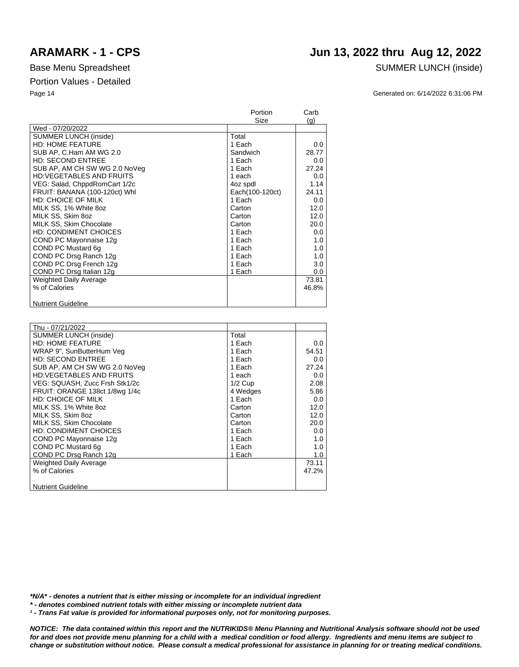## **ARAMARK - 1 - CPS Jun 13, 2022 thru Aug 12, 2022**

### Base Menu Spreadsheet SUMMER LUNCH (inside)

Page 14 Generated on: 6/14/2022 6:31:06 PM

|                                 | Portion         | Carb  |
|---------------------------------|-----------------|-------|
|                                 | Size            | (q)   |
| Wed - 07/20/2022                |                 |       |
| SUMMER LUNCH (inside)           | Total           |       |
| <b>HD: HOME FEATURE</b>         | 1 Each          | 0.0   |
| SUB AP. C.Ham AM WG 2.0         | Sandwich        | 28.77 |
| <b>HD: SECOND ENTREE</b>        | 1 Each          | 0.0   |
| SUB AP, AM CH SW WG 2.0 NoVeg   | 1 Each          | 27.24 |
| <b>HD:VEGETABLES AND FRUITS</b> | 1 each          | 0.0   |
| VEG: Salad, ChppdRomCart 1/2c   | 4oz spdl        | 1.14  |
| FRUIT: BANANA (100-120ct) Whl   | Each(100-120ct) | 24.11 |
| HD: CHOICE OF MILK              | 1 Each          | 0.0   |
| MILK SS, 1% White 8oz           | Carton          | 12.0  |
| MILK SS, Skim 8oz               | Carton          | 12.0  |
| MILK SS, Skim Chocolate         | Carton          | 20.0  |
| <b>HD: CONDIMENT CHOICES</b>    | 1 Each          | 0.0   |
| COND PC Mayonnaise 12g          | 1 Each          | 1.0   |
| COND PC Mustard 6g              | 1 Each          | 1.0   |
| COND PC Drsg Ranch 12g          | 1 Each          | 1.0   |
| COND PC Drsg French 12g         | 1 Each          | 3.0   |
| COND PC Drsg Italian 12g        | 1 Each          | 0.0   |
| Weighted Daily Average          |                 | 73.81 |
| % of Calories                   |                 | 46.8% |
|                                 |                 |       |
| <b>Nutrient Guideline</b>       |                 |       |

| Thu - 07/21/2022                |           |       |
|---------------------------------|-----------|-------|
| <b>SUMMER LUNCH (inside)</b>    | Total     |       |
| <b>HD: HOME FEATURE</b>         | 1 Each    | 0.0   |
| WRAP 9", SunButterHum Veg       | 1 Each    | 54.51 |
| <b>HD: SECOND ENTREE</b>        | 1 Each    | 0.0   |
| SUB AP, AM CH SW WG 2.0 NoVeg   | 1 Each    | 27.24 |
| <b>HD:VEGETABLES AND FRUITS</b> | 1 each    | 0.0   |
| VEG: SQUASH, Zucc Frsh Stk1/2c  | $1/2$ Cup | 2.08  |
| FRUIT: ORANGE 138ct 1/8wg 1/4c  | 4 Wedges  | 5.86  |
| <b>HD: CHOICE OF MILK</b>       | 1 Each    | 0.0   |
| MILK SS, 1% White 8oz           | Carton    | 12.0  |
| MILK SS. Skim 8oz               | Carton    | 12.0  |
| MILK SS, Skim Chocolate         | Carton    | 20.0  |
| <b>HD: CONDIMENT CHOICES</b>    | 1 Each    | 0.0   |
| COND PC Mayonnaise 12g          | 1 Each    | 1.0   |
| COND PC Mustard 6q              | 1 Each    | 1.0   |
| COND PC Drsg Ranch 12g          | 1 Each    | 1.0   |
| <b>Weighted Daily Average</b>   |           | 73.11 |
| % of Calories                   |           | 47.2% |
|                                 |           |       |
| <b>Nutrient Guideline</b>       |           |       |

*\*N/A\* - denotes a nutrient that is either missing or incomplete for an individual ingredient*

*\* - denotes combined nutrient totals with either missing or incomplete nutrient data*

*¹ - Trans Fat value is provided for informational purposes only, not for monitoring purposes.*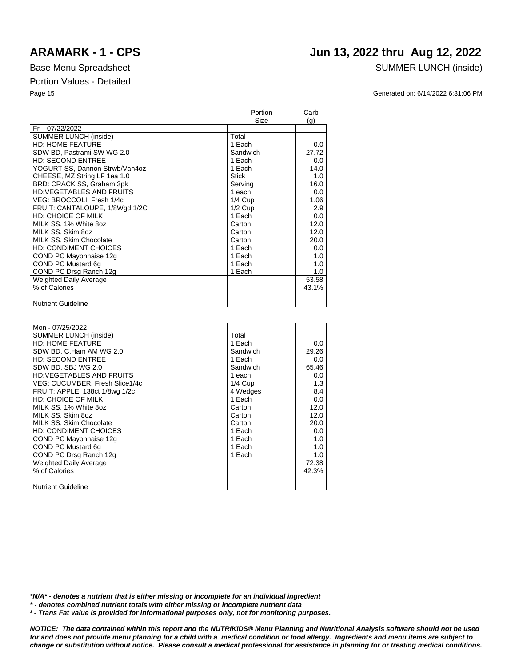## **ARAMARK - 1 - CPS Jun 13, 2022 thru Aug 12, 2022**

### Base Menu Spreadsheet SUMMER LUNCH (inside)

Page 15 Generated on: 6/14/2022 6:31:06 PM

|                                 | Portion      | Carb  |
|---------------------------------|--------------|-------|
|                                 | Size         | (q)   |
| Fri - 07/22/2022                |              |       |
| <b>SUMMER LUNCH (inside)</b>    | Total        |       |
| <b>HD: HOME FEATURE</b>         | 1 Each       | 0.0   |
| SDW BD, Pastrami SW WG 2.0      | Sandwich     | 27.72 |
| <b>HD: SECOND ENTREE</b>        | 1 Each       | 0.0   |
| YOGURT SS, Dannon Strwb/Van4oz  | 1 Each       | 14.0  |
| CHEESE, MZ String LF 1ea 1.0    | <b>Stick</b> | 1.0   |
| BRD: CRACK SS, Graham 3pk       | Serving      | 16.0  |
| <b>HD:VEGETABLES AND FRUITS</b> | 1 each       | 0.0   |
| VEG: BROCCOLI, Fresh 1/4c       | $1/4$ Cup    | 1.06  |
| FRUIT: CANTALOUPE, 1/8Wgd 1/2C  | $1/2$ Cup    | 2.9   |
| <b>HD: CHOICE OF MILK</b>       | 1 Each       | 0.0   |
| MILK SS, 1% White 8oz           | Carton       | 12.0  |
| MILK SS, Skim 8oz               | Carton       | 12.0  |
| MILK SS, Skim Chocolate         | Carton       | 20.0  |
| <b>HD: CONDIMENT CHOICES</b>    | 1 Each       | 0.0   |
| COND PC Mayonnaise 12g          | 1 Each       | 1.0   |
| COND PC Mustard 6g              | 1 Each       | 1.0   |
| COND PC Drsg Ranch 12g          | 1 Each       | 1.0   |
| Weighted Daily Average          |              | 53.58 |
| % of Calories                   |              | 43.1% |
|                                 |              |       |
| <b>Nutrient Guideline</b>       |              |       |

| Mon - 07/25/2022                |           |       |
|---------------------------------|-----------|-------|
| SUMMER LUNCH (inside)           | Total     |       |
| <b>HD: HOME FEATURE</b>         | 1 Each    | 0.0   |
| SDW BD, C.Ham AM WG 2.0         | Sandwich  | 29.26 |
| <b>HD: SECOND ENTREE</b>        | 1 Each    | 0.0   |
| SDW BD, SBJ WG 2.0              | Sandwich  | 65.46 |
| <b>HD:VEGETABLES AND FRUITS</b> | 1 each    | 0.0   |
| VEG: CUCUMBER, Fresh Slice1/4c  | $1/4$ Cup | 1.3   |
| FRUIT: APPLE, 138ct 1/8wg 1/2c  | 4 Wedges  | 8.4   |
| <b>HD: CHOICE OF MILK</b>       | 1 Each    | 0.0   |
| MILK SS, 1% White 8oz           | Carton    | 12.0  |
| MILK SS, Skim 8oz               | Carton    | 12.0  |
| MILK SS, Skim Chocolate         | Carton    | 20.0  |
| <b>HD: CONDIMENT CHOICES</b>    | 1 Each    | 0.0   |
| COND PC Mayonnaise 12g          | 1 Each    | 1.0   |
| COND PC Mustard 6q              | 1 Each    | 1.0   |
| COND PC Drsg Ranch 12g          | 1 Each    | 1.0   |
| Weighted Daily Average          |           | 72.38 |
| % of Calories                   |           | 42.3% |
|                                 |           |       |
| <b>Nutrient Guideline</b>       |           |       |

*\*N/A\* - denotes a nutrient that is either missing or incomplete for an individual ingredient*

*\* - denotes combined nutrient totals with either missing or incomplete nutrient data*

*¹ - Trans Fat value is provided for informational purposes only, not for monitoring purposes.*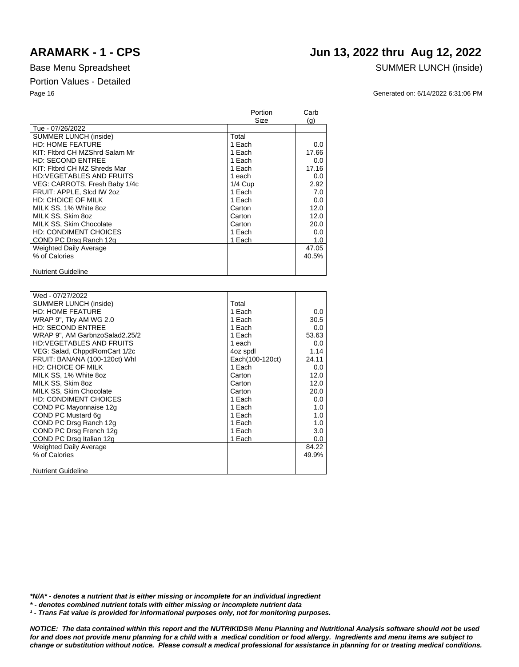Tue - 07/26/2022

# Page 16 Generated on: 6/14/2022 6:31:06 PM Portion Carb Size (g)

| <b>SUMMER LUNCH (inside)</b>    | Total     |       |
|---------------------------------|-----------|-------|
| <b>HD: HOME FEATURE</b>         | 1 Each    | 0.0   |
| KIT: Fitbrd CH MZShrd Salam Mr  | 1 Each    | 17.66 |
| <b>HD: SECOND ENTREE</b>        | 1 Each    | 0.0   |
| KIT: Fitbrd CH MZ Shreds Mar    | 1 Each    | 17.16 |
| <b>HD:VEGETABLES AND FRUITS</b> | 1 each    | 0.0   |
| VEG: CARROTS, Fresh Baby 1/4c   | $1/4$ Cup | 2.92  |
| FRUIT: APPLE, Slcd IW 2oz       | 1 Each    | 7.0   |
| <b>HD: CHOICE OF MILK</b>       | 1 Each    | 0.0   |
| MILK SS, 1% White 8oz           | Carton    | 12.0  |
| MILK SS, Skim 8oz               | Carton    | 12.0  |
| MILK SS, Skim Chocolate         | Carton    | 20.0  |
| <b>HD: CONDIMENT CHOICES</b>    | 1 Each    | 0.0   |
| COND PC Drsg Ranch 12g          | 1 Each    | 1.0   |
| Weighted Daily Average          |           | 47.05 |
| % of Calories                   |           | 40.5% |
|                                 |           |       |
| <b>Nutrient Guideline</b>       |           |       |

| Wed - 07/27/2022                |                 |       |
|---------------------------------|-----------------|-------|
| <b>SUMMER LUNCH (inside)</b>    | Total           |       |
| <b>HD: HOME FEATURE</b>         | 1 Each          | 0.0   |
| WRAP 9", Tky AM WG 2.0          | 1 Each          | 30.5  |
| <b>HD: SECOND ENTREE</b>        | 1 Each          | 0.0   |
|                                 |                 |       |
| WRAP 9", AM GarbnzoSalad2.25/2  | 1 Each          | 53.63 |
| <b>HD:VEGETABLES AND FRUITS</b> | 1 each          | 0.0   |
| VEG: Salad, ChppdRomCart 1/2c   | 4oz spdl        | 1.14  |
| FRUIT: BANANA (100-120ct) Whl   | Each(100-120ct) | 24.11 |
| <b>HD: CHOICE OF MILK</b>       | 1 Each          | 0.0   |
| MILK SS, 1% White 8oz           | Carton          | 12.0  |
| MILK SS, Skim 8oz               | Carton          | 12.0  |
| MILK SS, Skim Chocolate         | Carton          | 20.0  |
| <b>HD: CONDIMENT CHOICES</b>    | 1 Each          | 0.0   |
| COND PC Mayonnaise 12g          | 1 Each          | 1.0   |
| COND PC Mustard 6g              | 1 Each          | 1.0   |
| COND PC Drsg Ranch 12g          | 1 Each          | 1.0   |
| COND PC Drsg French 12g         | 1 Each          | 3.0   |
| COND PC Drsg Italian 12g        | 1 Each          | 0.0   |
| <b>Weighted Daily Average</b>   |                 | 84.22 |
| % of Calories                   |                 | 49.9% |
|                                 |                 |       |
| <b>Nutrient Guideline</b>       |                 |       |

*\*N/A\* - denotes a nutrient that is either missing or incomplete for an individual ingredient*

*\* - denotes combined nutrient totals with either missing or incomplete nutrient data*

*¹ - Trans Fat value is provided for informational purposes only, not for monitoring purposes.*

*NOTICE: The data contained within this report and the NUTRIKIDS® Menu Planning and Nutritional Analysis software should not be used for and does not provide menu planning for a child with a medical condition or food allergy. Ingredients and menu items are subject to change or substitution without notice. Please consult a medical professional for assistance in planning for or treating medical conditions.*

## **ARAMARK - 1 - CPS Jun 13, 2022 thru Aug 12, 2022**

Base Menu Spreadsheet SUMMER LUNCH (inside)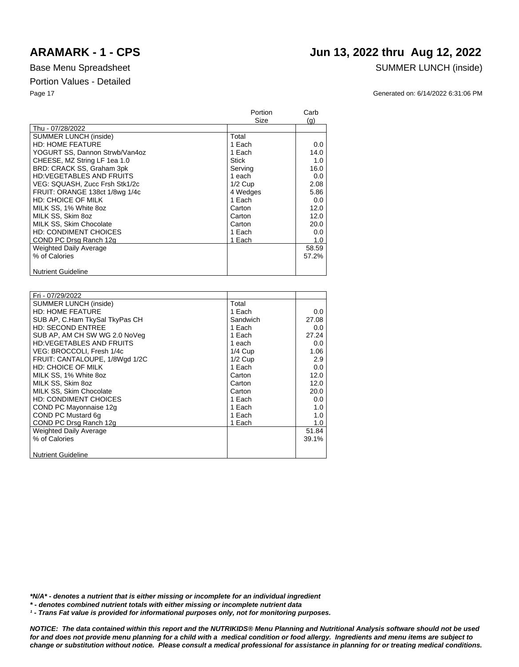## **ARAMARK - 1 - CPS Jun 13, 2022 thru Aug 12, 2022**

### Base Menu Spreadsheet SUMMER LUNCH (inside)

Page 17 Generated on: 6/14/2022 6:31:06 PM

|                                 | Portion   | Carb  |
|---------------------------------|-----------|-------|
|                                 | Size      | (q)   |
| Thu - 07/28/2022                |           |       |
| <b>SUMMER LUNCH (inside)</b>    | Total     |       |
| <b>HD: HOME FEATURE</b>         | 1 Each    | 0.0   |
| YOGURT SS, Dannon Strwb/Van4oz  | 1 Each    | 14.0  |
| CHEESE, MZ String LF 1ea 1.0    | Stick     | 1.0   |
| BRD: CRACK SS, Graham 3pk       | Serving   | 16.0  |
| <b>HD:VEGETABLES AND FRUITS</b> | 1 each    | 0.0   |
| VEG: SQUASH, Zucc Frsh Stk1/2c  | $1/2$ Cup | 2.08  |
| FRUIT: ORANGE 138ct 1/8wg 1/4c  | 4 Wedges  | 5.86  |
| <b>HD: CHOICE OF MILK</b>       | 1 Each    | 0.0   |
| MILK SS, 1% White 8oz           | Carton    | 12.0  |
| MILK SS. Skim 8oz               | Carton    | 12.0  |
| MILK SS, Skim Chocolate         | Carton    | 20.0  |
| <b>HD: CONDIMENT CHOICES</b>    | 1 Each    | 0.0   |
| COND PC Drsg Ranch 12g          | 1 Each    | 1.0   |
| Weighted Daily Average          |           | 58.59 |
| % of Calories                   |           | 57.2% |
|                                 |           |       |
| <b>Nutrient Guideline</b>       |           |       |

| Fri - 07/29/2022                |           |       |
|---------------------------------|-----------|-------|
| <b>SUMMER LUNCH (inside)</b>    | Total     |       |
| <b>HD: HOME FEATURE</b>         | 1 Each    | 0.0   |
| SUB AP, C.Ham TkySal TkyPas CH  | Sandwich  | 27.08 |
| <b>HD: SECOND ENTREE</b>        | 1 Each    | 0.0   |
| SUB AP, AM CH SW WG 2.0 NoVeg   | 1 Each    | 27.24 |
| <b>HD:VEGETABLES AND FRUITS</b> | 1 each    | 0.0   |
| VEG: BROCCOLI, Fresh 1/4c       | $1/4$ Cup | 1.06  |
| FRUIT: CANTALOUPE, 1/8Wgd 1/2C  | $1/2$ Cup | 2.9   |
| <b>HD: CHOICE OF MILK</b>       | 1 Each    | 0.0   |
| MILK SS, 1% White 8oz           | Carton    | 12.0  |
| MILK SS, Skim 8oz               | Carton    | 12.0  |
| MILK SS, Skim Chocolate         | Carton    | 20.0  |
| <b>HD: CONDIMENT CHOICES</b>    | 1 Each    | 0.0   |
| COND PC Mayonnaise 12g          | 1 Each    | 1.0   |
| COND PC Mustard 6q              | 1 Each    | 1.0   |
| COND PC Drsg Ranch 12g          | 1 Each    | 1.0   |
| <b>Weighted Daily Average</b>   |           | 51.84 |
| % of Calories                   |           | 39.1% |
|                                 |           |       |
| <b>Nutrient Guideline</b>       |           |       |
|                                 |           |       |

*\*N/A\* - denotes a nutrient that is either missing or incomplete for an individual ingredient*

*\* - denotes combined nutrient totals with either missing or incomplete nutrient data*

*¹ - Trans Fat value is provided for informational purposes only, not for monitoring purposes.*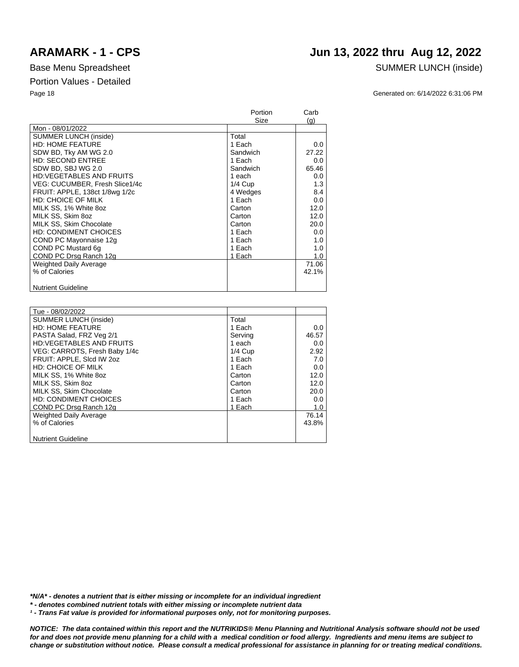## **ARAMARK - 1 - CPS Jun 13, 2022 thru Aug 12, 2022**

### Base Menu Spreadsheet SUMMER LUNCH (inside)

Page 18 Generated on: 6/14/2022 6:31:06 PM

|                                 | Portion   | Carb  |
|---------------------------------|-----------|-------|
|                                 | Size      | (g)   |
| Mon - 08/01/2022                |           |       |
| <b>SUMMER LUNCH (inside)</b>    | Total     |       |
| <b>HD: HOME FEATURE</b>         | 1 Each    | 0.0   |
| SDW BD, Tky AM WG 2.0           | Sandwich  | 27.22 |
| <b>HD: SECOND ENTREE</b>        | 1 Each    | 0.0   |
| SDW BD, SBJ WG 2.0              | Sandwich  | 65.46 |
| <b>HD:VEGETABLES AND FRUITS</b> | 1 each    | 0.0   |
| VEG: CUCUMBER, Fresh Slice1/4c  | $1/4$ Cup | 1.3   |
| FRUIT: APPLE, 138ct 1/8wg 1/2c  | 4 Wedges  | 8.4   |
| <b>HD: CHOICE OF MILK</b>       | 1 Each    | 0.0   |
| MILK SS, 1% White 8oz           | Carton    | 12.0  |
| MILK SS, Skim 8oz               | Carton    | 12.0  |
| MILK SS, Skim Chocolate         | Carton    | 20.0  |
| <b>HD: CONDIMENT CHOICES</b>    | 1 Each    | 0.0   |
| COND PC Mayonnaise 12g          | 1 Each    | 1.0   |
| COND PC Mustard 6q              | 1 Each    | 1.0   |
| COND PC Drsg Ranch 12g          | 1 Each    | 1.0   |
| <b>Weighted Daily Average</b>   |           | 71.06 |
| % of Calories                   |           | 42.1% |
|                                 |           |       |
| <b>Nutrient Guideline</b>       |           |       |

| Tue - 08/02/2022                |           |       |
|---------------------------------|-----------|-------|
| <b>SUMMER LUNCH (inside)</b>    | Total     |       |
| <b>HD: HOME FEATURE</b>         | 1 Each    | 0.0   |
| PASTA Salad, FRZ Veg 2/1        | Serving   | 46.57 |
| <b>HD:VEGETABLES AND FRUITS</b> | 1 each    | 0.0   |
| VEG: CARROTS, Fresh Baby 1/4c   | $1/4$ Cup | 2.92  |
| FRUIT: APPLE, SIcd IW 202       | 1 Each    | 7.0   |
| <b>HD: CHOICE OF MILK</b>       | 1 Each    | 0.0   |
| MILK SS, 1% White 8oz           | Carton    | 12.0  |
| MILK SS. Skim 8oz               | Carton    | 12.0  |
| MILK SS, Skim Chocolate         | Carton    | 20.0  |
| <b>HD: CONDIMENT CHOICES</b>    | 1 Each    | 0.0   |
| COND PC Drsg Ranch 12g          | 1 Each    | 1.0   |
| <b>Weighted Daily Average</b>   |           | 76.14 |
| % of Calories                   |           | 43.8% |
|                                 |           |       |
| <b>Nutrient Guideline</b>       |           |       |

*\*N/A\* - denotes a nutrient that is either missing or incomplete for an individual ingredient*

*\* - denotes combined nutrient totals with either missing or incomplete nutrient data*

*¹ - Trans Fat value is provided for informational purposes only, not for monitoring purposes.*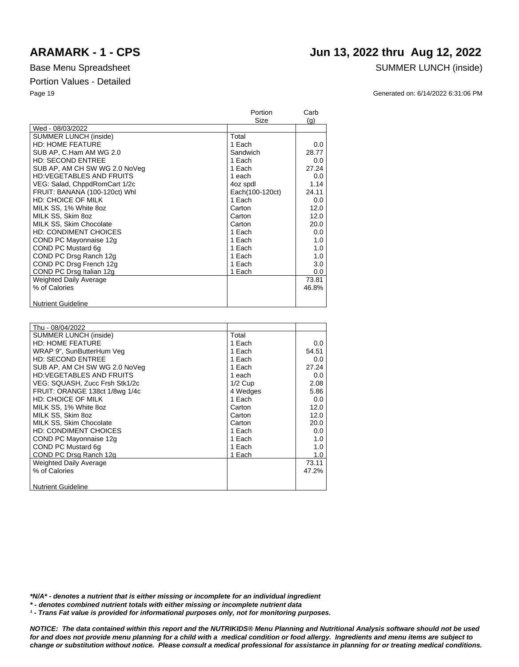## **ARAMARK - 1 - CPS Jun 13, 2022 thru Aug 12, 2022**

### Base Menu Spreadsheet SUMMER LUNCH (inside)

Page 19 Generated on: 6/14/2022 6:31:06 PM

|                                 | Portion         | Carb  |
|---------------------------------|-----------------|-------|
|                                 | Size            | (g)   |
| Wed - 08/03/2022                |                 |       |
| <b>SUMMER LUNCH (inside)</b>    | Total           |       |
| <b>HD: HOME FEATURE</b>         | 1 Each          | 0.0   |
| SUB AP, C.Ham AM WG 2.0         | Sandwich        | 28.77 |
| <b>HD: SECOND ENTREE</b>        | 1 Each          | 0.0   |
| SUB AP, AM CH SW WG 2.0 NoVeg   | 1 Each          | 27.24 |
| <b>HD:VEGETABLES AND FRUITS</b> | 1 each          | 0.0   |
| VEG: Salad, ChppdRomCart 1/2c   | 4oz spdl        | 1.14  |
| FRUIT: BANANA (100-120ct) Whl   | Each(100-120ct) | 24.11 |
| HD: CHOICE OF MILK              | 1 Each          | 0.0   |
| MILK SS, 1% White 8oz           | Carton          | 12.0  |
| MILK SS, Skim 8oz               | Carton          | 12.0  |
| MILK SS, Skim Chocolate         | Carton          | 20.0  |
| <b>HD: CONDIMENT CHOICES</b>    | 1 Each          | 0.0   |
| COND PC Mayonnaise 12g          | 1 Each          | 1.0   |
| COND PC Mustard 6g              | 1 Each          | 1.0   |
| COND PC Drsg Ranch 12g          | 1 Each          | 1.0   |
| COND PC Drsg French 12g         | 1 Each          | 3.0   |
| COND PC Drsg Italian 12g        | 1 Each          | 0.0   |
| <b>Weighted Daily Average</b>   |                 | 73.81 |
| % of Calories                   |                 | 46.8% |
|                                 |                 |       |
| <b>Nutrient Guideline</b>       |                 |       |

| Thu - 08/04/2022                |           |       |
|---------------------------------|-----------|-------|
| SUMMER LUNCH (inside)           | Total     |       |
| <b>HD: HOME FEATURE</b>         | 1 Each    | 0.0   |
| WRAP 9", SunButterHum Veg       | 1 Each    | 54.51 |
| <b>HD: SECOND ENTREE</b>        | 1 Each    | 0.0   |
| SUB AP, AM CH SW WG 2.0 NoVeg   | 1 Each    | 27.24 |
| <b>HD:VEGETABLES AND FRUITS</b> | 1 each    | 0.0   |
| VEG: SQUASH, Zucc Frsh Stk1/2c  | $1/2$ Cup | 2.08  |
| FRUIT: ORANGE 138ct 1/8wg 1/4c  | 4 Wedges  | 5.86  |
| HD: CHOICE OF MILK              | 1 Each    | 0.0   |
| MILK SS, 1% White 8oz           | Carton    | 12.0  |
| MILK SS. Skim 8oz               | Carton    | 12.0  |
| MILK SS, Skim Chocolate         | Carton    | 20.0  |
| HD: CONDIMENT CHOICES           | 1 Each    | 0.0   |
| COND PC Mayonnaise 12g          | 1 Each    | 1.0   |
| COND PC Mustard 6q              | 1 Each    | 1.0   |
| COND PC Drsg Ranch 12g          | 1 Each    | 1.0   |
| Weighted Daily Average          |           | 73.11 |
| % of Calories                   |           | 47.2% |
|                                 |           |       |
| <b>Nutrient Guideline</b>       |           |       |

*\*N/A\* - denotes a nutrient that is either missing or incomplete for an individual ingredient*

*\* - denotes combined nutrient totals with either missing or incomplete nutrient data*

*¹ - Trans Fat value is provided for informational purposes only, not for monitoring purposes.*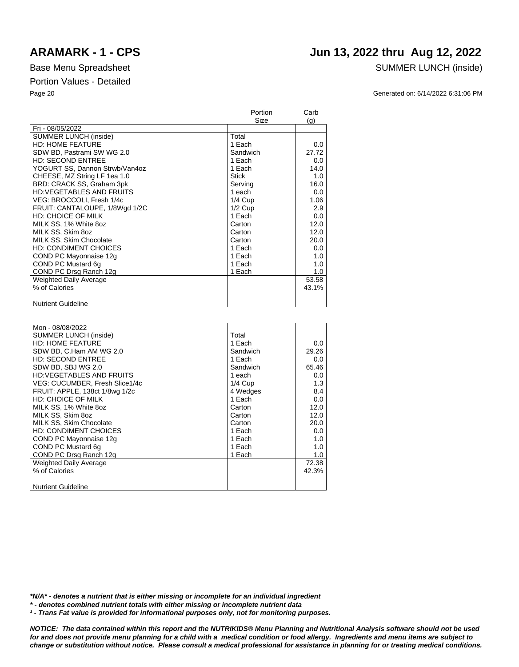### **ARAMARK - 1 - CPS Jun 13, 2022 thru Aug 12, 2022**

### Base Menu Spreadsheet SUMMER LUNCH (inside)

Page 20 Generated on: 6/14/2022 6:31:06 PM

|                                 | Portion   | Carb  |
|---------------------------------|-----------|-------|
|                                 | Size      | (q)   |
| Fri - 08/05/2022                |           |       |
| <b>SUMMER LUNCH (inside)</b>    | Total     |       |
| <b>HD: HOME FEATURE</b>         | 1 Each    | 0.0   |
| SDW BD, Pastrami SW WG 2.0      | Sandwich  | 27.72 |
| <b>HD: SECOND ENTREE</b>        | 1 Each    | 0.0   |
| YOGURT SS, Dannon Strwb/Van4oz  | 1 Each    | 14.0  |
| CHEESE, MZ String LF 1ea 1.0    | Stick     | 1.0   |
| BRD: CRACK SS, Graham 3pk       | Serving   | 16.0  |
| <b>HD:VEGETABLES AND FRUITS</b> | 1 each    | 0.0   |
| VEG: BROCCOLI, Fresh 1/4c       | $1/4$ Cup | 1.06  |
| FRUIT: CANTALOUPE, 1/8Wgd 1/2C  | $1/2$ Cup | 2.9   |
| <b>HD: CHOICE OF MILK</b>       | 1 Each    | 0.0   |
| MILK SS, 1% White 8oz           | Carton    | 12.0  |
| MILK SS, Skim 8oz               | Carton    | 12.0  |
| MILK SS, Skim Chocolate         | Carton    | 20.0  |
| <b>HD: CONDIMENT CHOICES</b>    | 1 Each    | 0.0   |
| COND PC Mayonnaise 12g          | 1 Each    | 1.0   |
| COND PC Mustard 6g              | 1 Each    | 1.0   |
| COND PC Drsg Ranch 12g          | 1 Each    | 1.0   |
| <b>Weighted Daily Average</b>   |           | 53.58 |
| % of Calories                   |           | 43.1% |
|                                 |           |       |
| <b>Nutrient Guideline</b>       |           |       |

| Mon - 08/08/2022                |           |       |
|---------------------------------|-----------|-------|
| <b>SUMMER LUNCH (inside)</b>    | Total     |       |
| <b>HD: HOME FEATURE</b>         | 1 Each    | 0.0   |
| SDW BD, C.Ham AM WG 2.0         | Sandwich  | 29.26 |
| <b>HD: SECOND ENTREE</b>        | 1 Each    | 0.0   |
| SDW BD, SBJ WG 2.0              | Sandwich  | 65.46 |
| <b>HD:VEGETABLES AND FRUITS</b> | 1 each    | 0.0   |
| VEG: CUCUMBER, Fresh Slice1/4c  | $1/4$ Cup | 1.3   |
| FRUIT: APPLE, 138ct 1/8wg 1/2c  | 4 Wedges  | 8.4   |
| <b>HD: CHOICE OF MILK</b>       | 1 Each    | 0.0   |
| MILK SS, 1% White 8oz           | Carton    | 12.0  |
| MILK SS. Skim 8oz               | Carton    | 12.0  |
| MILK SS. Skim Chocolate         | Carton    | 20.0  |
| <b>HD: CONDIMENT CHOICES</b>    | 1 Each    | 0.0   |
| COND PC Mayonnaise 12g          | 1 Each    | 1.0   |
| COND PC Mustard 6q              | 1 Each    | 1.0   |
| COND PC Drsg Ranch 12g          | 1 Each    | 1.0   |
| Weighted Daily Average          |           | 72.38 |
| % of Calories                   |           | 42.3% |
|                                 |           |       |
| <b>Nutrient Guideline</b>       |           |       |

*\*N/A\* - denotes a nutrient that is either missing or incomplete for an individual ingredient*

*\* - denotes combined nutrient totals with either missing or incomplete nutrient data*

*¹ - Trans Fat value is provided for informational purposes only, not for monitoring purposes.*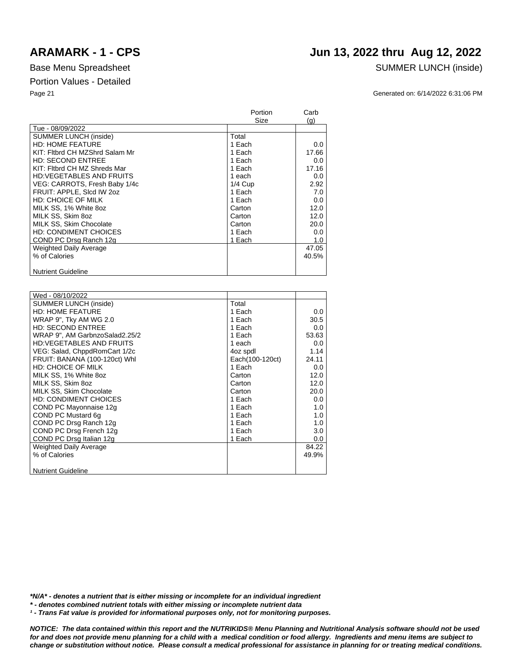### Base Menu Spreadsheet SUMMER LUNCH (inside)

### Portion Values - Detailed

Nutrient Guideline

|                                 | Portion<br>Size | Carb<br>(g) |
|---------------------------------|-----------------|-------------|
| Tue - 08/09/2022                |                 |             |
| <b>SUMMER LUNCH (inside)</b>    | Total           |             |
| <b>HD: HOME FEATURE</b>         | 1 Each          | 0.0         |
| KIT: Fitbrd CH MZShrd Salam Mr  | 1 Each          | 17.66       |
| <b>HD: SECOND ENTREE</b>        | 1 Each          | 0.0         |
| KIT: Fitbrd CH MZ Shreds Mar    | 1 Each          | 17.16       |
| <b>HD:VEGETABLES AND FRUITS</b> | 1 each          | 0.0         |
| VEG: CARROTS, Fresh Baby 1/4c   | $1/4$ Cup       | 2.92        |
| FRUIT: APPLE, Slcd IW 2oz       | 1 Each          | 7.0         |
| HD: CHOICE OF MILK              | 1 Each          | 0.0         |
| MILK SS, 1% White 8oz           | Carton          | 12.0        |
| MILK SS, Skim 8oz               | Carton          | 12.0        |
| MILK SS, Skim Chocolate         | Carton          | 20.0        |
| <b>HD: CONDIMENT CHOICES</b>    | 1 Each          | 0.0         |
| COND PC Drsg Ranch 12g          | 1 Each          | 1.0         |
| <b>Weighted Daily Average</b>   |                 | 47.05       |
| % of Calories                   |                 | 40.5%       |

| Wed - 08/10/2022                |                 |       |
|---------------------------------|-----------------|-------|
| <b>SUMMER LUNCH (inside)</b>    | Total           |       |
| <b>HD: HOME FEATURE</b>         | 1 Each          | 0.0   |
| WRAP 9", Tky AM WG 2.0          | 1 Each          | 30.5  |
| <b>HD: SECOND ENTREE</b>        | 1 Each          | 0.0   |
| WRAP 9", AM GarbnzoSalad2.25/2  | 1 Each          | 53.63 |
| <b>HD:VEGETABLES AND FRUITS</b> | 1 each          | 0.0   |
| VEG: Salad, ChppdRomCart 1/2c   | 4oz spdl        | 1.14  |
| FRUIT: BANANA (100-120ct) Whl   | Each(100-120ct) | 24.11 |
| <b>HD: CHOICE OF MILK</b>       | 1 Each          | 0.0   |
| MILK SS, 1% White 8oz           | Carton          | 12.0  |
| MILK SS, Skim 8oz               | Carton          | 12.0  |
| MILK SS, Skim Chocolate         | Carton          | 20.0  |
| <b>HD: CONDIMENT CHOICES</b>    | 1 Each          | 0.0   |
| COND PC Mayonnaise 12g          | 1 Each          | 1.0   |
| COND PC Mustard 6q              | 1 Each          | 1.0   |
| COND PC Drsg Ranch 12g          | 1 Each          | 1.0   |
| COND PC Drsg French 12g         | 1 Each          | 3.0   |
| COND PC Drsg Italian 12g        | 1 Each          | 0.0   |
| <b>Weighted Daily Average</b>   |                 | 84.22 |
| % of Calories                   |                 | 49.9% |
|                                 |                 |       |
| <b>Nutrient Guideline</b>       |                 |       |

*\*N/A\* - denotes a nutrient that is either missing or incomplete for an individual ingredient*

*\* - denotes combined nutrient totals with either missing or incomplete nutrient data*

*¹ - Trans Fat value is provided for informational purposes only, not for monitoring purposes.*

**ARAMARK - 1 - CPS Jun 13, 2022 thru Aug 12, 2022**

Page 21 Generated on: 6/14/2022 6:31:06 PM